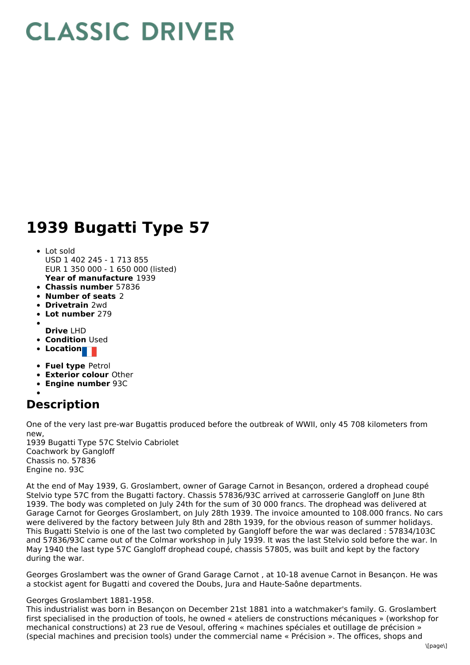## **CLASSIC DRIVER**

## **1939 Bugatti Type 57**

- **Year of manufacture** 1939 Lot sold USD 1 402 245 - 1 713 855 EUR 1 350 000 - 1 650 000 (listed)
- **Chassis number** 57836
- **Number of seats** 2
- **Drivetrain** 2wd
- **Lot number** 279
- **Drive** LHD
- **Condition** Used
- **Location**
- **Fuel type** Petrol
- **Exterior colour** Other
- **Engine number** 93C

## **Description**

One of the very last pre-war Bugattis produced before the outbreak of WWII, only 45 708 kilometers from new,

1939 Bugatti Type 57C Stelvio Cabriolet Coachwork by Gangloff Chassis no. 57836 Engine no. 93C

At the end of May 1939, G. Groslambert, owner of Garage Carnot in Besançon, ordered a drophead coupé Stelvio type 57C from the Bugatti factory. Chassis 57836/93C arrived at carrosserie Gangloff on June 8th 1939. The body was completed on July 24th for the sum of 30 000 francs. The drophead was delivered at Garage Carnot for Georges Groslambert, on July 28th 1939. The invoice amounted to 108.000 francs. No cars were delivered by the factory between July 8th and 28th 1939, for the obvious reason of summer holidays. This Bugatti Stelvio is one of the last two completed by Gangloff before the war was declared : 57834/103C and 57836/93C came out of the Colmar workshop in July 1939. It was the last Stelvio sold before the war. In May 1940 the last type 57C Gangloff drophead coupé, chassis 57805, was built and kept by the factory during the war.

Georges Groslambert was the owner of Grand Garage Carnot , at 10-18 avenue Carnot in Besançon. He was a stockist agent for Bugatti and covered the Doubs, Jura and Haute-Saône departments.

## Georges Groslambert 1881-1958.

This industrialist was born in Besançon on December 21st 1881 into a watchmaker's family. G. Groslambert first specialised in the production of tools, he owned « ateliers de constructions mécaniques » (workshop for mechanical constructions) at 23 rue de Vesoul, offering « machines spéciales et outillage de précision » (special machines and precision tools) under the commercial name « Précision ». The offices, shops and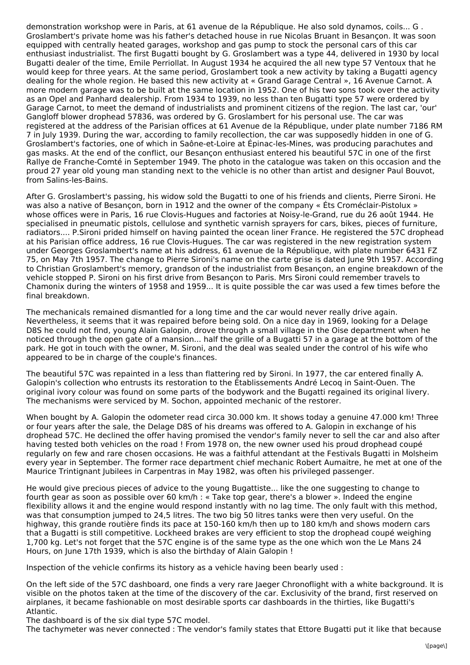demonstration workshop were in Paris, at 61 avenue de la République. He also sold dynamos, coils... G . Groslambert's private home was his father's detached house in rue Nicolas Bruant in Besançon. It was soon equipped with centrally heated garages, workshop and gas pump to stock the personal cars of this car enthusiast industrialist. The first Bugatti bought by G. Groslambert was a type 44, delivered in 1930 by local Bugatti dealer of the time, Emile Perriollat. In August 1934 he acquired the all new type 57 Ventoux that he would keep for three years. At the same period, Groslambert took a new activity by taking a Bugatti agency dealing for the whole region. He based this new activity at « Grand Garage Central », 16 Avenue Carnot. A more modern garage was to be built at the same location in 1952. One of his two sons took over the activity as an Opel and Panhard dealership. From 1934 to 1939, no less than ten Bugatti type 57 were ordered by Garage Carnot, to meet the demand of industrialists and prominent citizens of the region. The last car, 'our' Gangloff blower drophead 57836, was ordered by G. Groslambert for his personal use. The car was registered at the address of the Parisian offices at 61 Avenue de la République, under plate number 7186 RM 7 in July 1939. During the war, according to family recollection, the car was supposedly hidden in one of G. Groslambert's factories, one of which in Saône-et-Loire at Épinac-les-Mines, was producing parachutes and gas masks. At the end of the conflict, our Besançon enthusiast entered his beautiful 57C in one of the first Rallye de Franche-Comté in September 1949. The photo in the catalogue was taken on this occasion and the proud 27 year old young man standing next to the vehicle is no other than artist and designer Paul Bouvot, from Salins-les-Bains.

After G. Groslambert's passing, his widow sold the Bugatti to one of his friends and clients, Pierre Sironi. He was also a native of Besançon, born in 1912 and the owner of the company « Éts Croméclair-Pistolux » whose offices were in Paris, 16 rue Clovis-Hugues and factories at Noisy-le-Grand, rue du 26 août 1944. He specialised in pneumatic pistols, cellulose and synthetic varnish sprayers for cars, bikes, pieces of furniture, radiators.... P.Sironi prided himself on having painted the ocean liner France. He registered the 57C drophead at his Parisian office address, 16 rue Clovis-Hugues. The car was registered in the new registration system under Georges Groslambert's name at his address, 61 avenue de la République, with plate number 6431 FZ 75, on May 7th 1957. The change to Pierre Sironi's name on the carte grise is dated June 9th 1957. According to Christian Groslambert's memory, grandson of the industrialist from Besançon, an engine breakdown of the vehicle stopped P. Sironi on his first drive from Besançon to Paris. Mrs Sironi could remember travels to Chamonix during the winters of 1958 and 1959... It is quite possible the car was used a few times before the final breakdown.

The mechanicals remained dismantled for a long time and the car would never really drive again. Nevertheless, it seems that it was repaired before being sold. On a nice day in 1969, looking for a Delage D8S he could not find, young Alain Galopin, drove through a small village in the Oise department when he noticed through the open gate of a mansion... half the grille of a Bugatti 57 in a garage at the bottom of the park. He got in touch with the owner, M. Sironi, and the deal was sealed under the control of his wife who appeared to be in charge of the couple's finances.

The beautiful 57C was repainted in a less than flattering red by Sironi. In 1977, the car entered finally A. Galopin's collection who entrusts its restoration to the Établissements André Lecoq in Saint-Ouen. The original ivory colour was found on some parts of the bodywork and the Bugatti regained its original livery. The mechanisms were serviced by M. Sochon, appointed mechanic of the restorer.

When bought by A. Galopin the odometer read circa 30.000 km. It shows today a genuine 47.000 km! Three or four years after the sale, the Delage D8S of his dreams was offered to A. Galopin in exchange of his drophead 57C. He declined the offer having promised the vendor's family never to sell the car and also after having tested both vehicles on the road ! From 1978 on, the new owner used his proud drophead coupé regularly on few and rare chosen occasions. He was a faithful attendant at the Festivals Bugatti in Molsheim every year in September. The former race department chief mechanic Robert Aumaitre, he met at one of the Maurice Trintignant Jubilees in Carpentras in May 1982, was often his privileged passenger.

He would give precious pieces of advice to the young Bugattiste... like the one suggesting to change to fourth gear as soon as possible over 60 km/h : « Take top gear, there's a blower ». Indeed the engine flexibility allows it and the engine would respond instantly with no lag time. The only fault with this method, was that consumption jumped to 24,5 litres. The two big 50 litres tanks were then very useful. On the highway, this grande routière finds its pace at 150-160 km/h then up to 180 km/h and shows modern cars that a Bugatti is still competitive. Lockheed brakes are very efficient to stop the drophead coupé weighing 1,700 kg. Let's not forget that the 57C engine is of the same type as the one which won the Le Mans 24 Hours, on June 17th 1939, which is also the birthday of Alain Galopin !

Inspection of the vehicle confirms its history as a vehicle having been bearly used :

On the left side of the 57C dashboard, one finds a very rare Jaeger Chronoflight with a white background. It is visible on the photos taken at the time of the discovery of the car. Exclusivity of the brand, first reserved on airplanes, it became fashionable on most desirable sports car dashboards in the thirties, like Bugatti's Atlantic.

The dashboard is of the six dial type 57C model.

The tachymeter was never connected : The vendor's family states that Ettore Bugatti put it like that because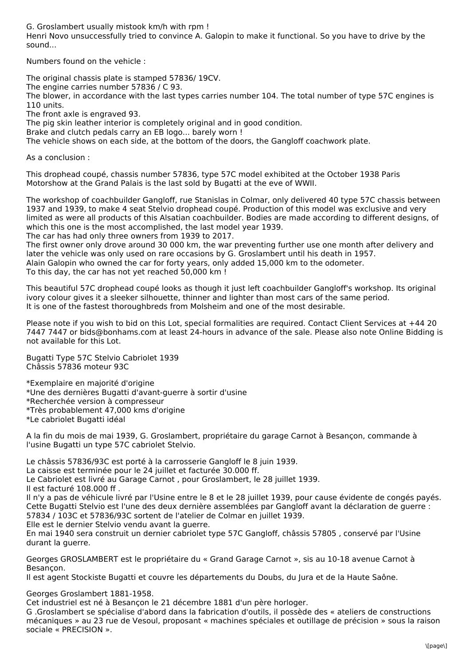G. Groslambert usually mistook km/h with rpm !

Henri Novo unsuccessfully tried to convince A. Galopin to make it functional. So you have to drive by the sound...

Numbers found on the vehicle :

The original chassis plate is stamped 57836/ 19CV. The engine carries number 57836 / C 93. The blower, in accordance with the last types carries number 104. The total number of type 57C engines is 110 units.

The front axle is engraved 93.

The pig skin leather interior is completely original and in good condition.

Brake and clutch pedals carry an EB logo... barely worn !

The vehicle shows on each side, at the bottom of the doors, the Gangloff coachwork plate.

As a conclusion :

This drophead coupé, chassis number 57836, type 57C model exhibited at the October 1938 Paris Motorshow at the Grand Palais is the last sold by Bugatti at the eve of WWII.

The workshop of coachbuilder Gangloff, rue Stanislas in Colmar, only delivered 40 type 57C chassis between 1937 and 1939, to make 4 seat Stelvio drophead coupé. Production of this model was exclusive and very limited as were all products of this Alsatian coachbuilder. Bodies are made according to different designs, of which this one is the most accomplished, the last model year 1939. The car has had only three owners from 1939 to 2017.

The first owner only drove around 30 000 km, the war preventing further use one month after delivery and later the vehicle was only used on rare occasions by G. Groslambert until his death in 1957. Alain Galopin who owned the car for forty years, only added 15,000 km to the odometer. To this day, the car has not yet reached 50,000 km !

This beautiful 57C drophead coupé looks as though it just left coachbuilder Gangloff's workshop. Its original ivory colour gives it a sleeker silhouette, thinner and lighter than most cars of the same period. It is one of the fastest thoroughbreds from Molsheim and one of the most desirable.

Please note if you wish to bid on this Lot, special formalities are required. Contact Client Services at +44 20 7447 7447 or bids@bonhams.com at least 24-hours in advance of the sale. Please also note Online Bidding is not available for this Lot.

Bugatti Type 57C Stelvio Cabriolet 1939 Châssis 57836 moteur 93C

\*Exemplaire en majorité d'origine \*Une des dernières Bugatti d'avant-guerre à sortir d'usine \*Recherchée version à compresseur \*Très probablement 47,000 kms d'origine

\*Le cabriolet Bugatti idéal

A la fin du mois de mai 1939, G. Groslambert, propriétaire du garage Carnot à Besançon, commande à l'usine Bugatti un type 57C cabriolet Stelvio.

Le châssis 57836/93C est porté à la carrosserie Gangloff le 8 juin 1939.

La caisse est terminée pour le 24 juillet et facturée 30.000 ff.

Le Cabriolet est livré au Garage Carnot , pour Groslambert, le 28 juillet 1939.

Il est facturé 108.000 ff .

Il n'y a pas de véhicule livré par l'Usine entre le 8 et le 28 juillet 1939, pour cause évidente de congés payés. Cette Bugatti Stelvio est l'une des deux dernière assemblées par Gangloff avant la déclaration de guerre : 57834 / 103C et 57836/93C sortent de l'atelier de Colmar en juillet 1939.

Elle est le dernier Stelvio vendu avant la guerre.

En mai 1940 sera construit un dernier cabriolet type 57C Gangloff, châssis 57805 , conservé par l'Usine durant la guerre.

Georges GROSLAMBERT est le propriétaire du « Grand Garage Carnot », sis au 10-18 avenue Carnot à Besançon.

Il est agent Stockiste Bugatti et couvre les départements du Doubs, du Jura et de la Haute Saône.

Georges Groslambert 1881-1958.

Cet industriel est né à Besançon le 21 décembre 1881 d'un père horloger.

G .Groslambert se spécialise d'abord dans la fabrication d'outils, il possède des « ateliers de constructions mécaniques » au 23 rue de Vesoul, proposant « machines spéciales et outillage de précision » sous la raison sociale « PRECISION ».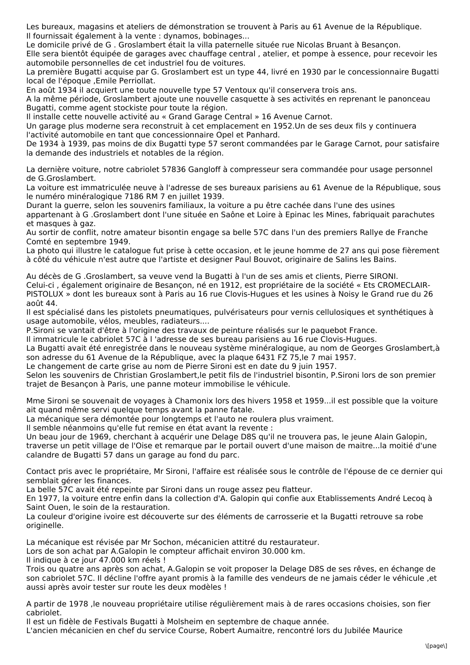Les bureaux, magasins et ateliers de démonstration se trouvent à Paris au 61 Avenue de la République. Il fournissait également à la vente : dynamos, bobinages...

Le domicile privé de G . Groslambert était la villa paternelle située rue Nicolas Bruant à Besançon.

Elle sera bientôt équipée de garages avec chauffage central , atelier, et pompe à essence, pour recevoir les automobile personnelles de cet industriel fou de voitures.

La première Bugatti acquise par G. Groslambert est un type 44, livré en 1930 par le concessionnaire Bugatti local de l'époque ,Emile Perriollat.

En août 1934 il acquiert une toute nouvelle type 57 Ventoux qu'il conservera trois ans.

A la même période, Groslambert ajoute une nouvelle casquette à ses activités en reprenant le panonceau Bugatti, comme agent stockiste pour toute la région.

Il installe cette nouvelle activité au « Grand Garage Central » 16 Avenue Carnot.

Un garage plus moderne sera reconstruit à cet emplacement en 1952.Un de ses deux fils y continuera l'activité automobile en tant que concessionnaire Opel et Panhard.

De 1934 à 1939, pas moins de dix Bugatti type 57 seront commandées par le Garage Carnot, pour satisfaire la demande des industriels et notables de la région.

La dernière voiture, notre cabriolet 57836 Gangloff à compresseur sera commandée pour usage personnel de G.Groslambert.

La voiture est immatriculée neuve à l'adresse de ses bureaux parisiens au 61 Avenue de la République, sous le numéro minéralogique 7186 RM 7 en juillet 1939.

Durant la guerre, selon les souvenirs familiaux, la voiture a pu être cachée dans l'une des usines appartenant à G .Groslambert dont l'une située en Saône et Loire à Epinac les Mines, fabriquait parachutes et masques à gaz.

Au sortir de conflit, notre amateur bisontin engage sa belle 57C dans l'un des premiers Rallye de Franche Comté en septembre 1949.

La photo qui illustre le catalogue fut prise à cette occasion, et le jeune homme de 27 ans qui pose fièrement à côté du véhicule n'est autre que l'artiste et designer Paul Bouvot, originaire de Salins les Bains.

Au décès de G .Groslambert, sa veuve vend la Bugatti à l'un de ses amis et clients, Pierre SIRONI. Celui-ci , également originaire de Besançon, né en 1912, est propriétaire de la société « Ets CROMECLAIR-PISTOLUX » dont les bureaux sont à Paris au 16 rue Clovis-Hugues et les usines à Noisy le Grand rue du 26 août 44.

Il est spécialisé dans les pistolets pneumatiques, pulvérisateurs pour vernis cellulosiques et synthétiques à usage automobile, vélos, meubles, radiateurs....

P.Sironi se vantait d'être à l'origine des travaux de peinture réalisés sur le paquebot France.

Il immatricule le cabriolet 57C à l 'adresse de ses bureau parisiens au 16 rue Clovis-Hugues.

La Bugatti avait été enregistrée dans le nouveau système minéralogique, au nom de Georges Groslambert,à son adresse du 61 Avenue de la République, avec la plaque 6431 FZ 75,le 7 mai 1957.

Le changement de carte grise au nom de Pierre Sironi est en date du 9 juin 1957.

Selon les souvenirs de Christian Groslambert,le petit fils de l'industriel bisontin, P.Sironi lors de son premier trajet de Besançon à Paris, une panne moteur immobilise le véhicule.

Mme Sironi se souvenait de voyages à Chamonix lors des hivers 1958 et 1959...il est possible que la voiture ait quand même servi quelque temps avant la panne fatale.

La mécanique sera démontée pour longtemps et l'auto ne roulera plus vraiment.

Il semble néanmoins qu'elle fut remise en état avant la revente :

Un beau jour de 1969, cherchant à acquérir une Delage D8S qu'il ne trouvera pas, le jeune Alain Galopin, traverse un petit village de l'Oise et remarque par le portail ouvert d'une maison de maitre...la moitié d'une calandre de Bugatti 57 dans un garage au fond du parc.

Contact pris avec le propriétaire, Mr Sironi, l'affaire est réalisée sous le contrôle de l'épouse de ce dernier qui semblait gérer les finances.

La belle 57C avait été repeinte par Sironi dans un rouge assez peu flatteur.

En 1977, la voiture entre enfin dans la collection d'A. Galopin qui confie aux Etablissements André Lecoq à Saint Ouen, le soin de la restauration.

La couleur d'origine ivoire est découverte sur des éléments de carrosserie et la Bugatti retrouve sa robe originelle.

La mécanique est révisée par Mr Sochon, mécanicien attitré du restaurateur.

Lors de son achat par A.Galopin le compteur affichait environ 30.000 km.

Il indique à ce jour 47.000 km réels !

Trois ou quatre ans après son achat, A.Galopin se voit proposer la Delage D8S de ses rêves, en échange de son cabriolet 57C. Il décline l'offre ayant promis à la famille des vendeurs de ne jamais céder le véhicule ,et aussi après avoir tester sur route les deux modèles !

A partir de 1978 ,le nouveau propriétaire utilise régulièrement mais à de rares occasions choisies, son fier cabriolet.

Il est un fidèle de Festivals Bugatti à Molsheim en septembre de chaque année.

L'ancien mécanicien en chef du service Course, Robert Aumaitre, rencontré lors du Jubilée Maurice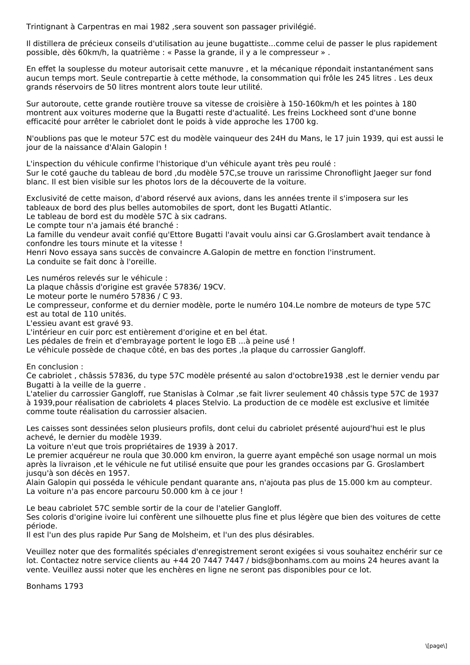Trintignant à Carpentras en mai 1982, sera souvent son passager privilégié.

Il distillera de précieux conseils d'utilisation au jeune bugattiste...comme celui de passer le plus rapidement possible, dès 60km/h, la quatrième : « Passe la grande, il y a le compresseur » .

En effet la souplesse du moteur autorisait cette manuvre , et la mécanique répondait instantanément sans aucun temps mort. Seule contrepartie à cette méthode, la consommation qui frôle les 245 litres . Les deux grands réservoirs de 50 litres montrent alors toute leur utilité.

Sur autoroute, cette grande routière trouve sa vitesse de croisière à 150-160km/h et les pointes à 180 montrent aux voitures moderne que la Bugatti reste d'actualité. Les freins Lockheed sont d'une bonne efficacité pour arrêter le cabriolet dont le poids à vide approche les 1700 kg.

N'oublions pas que le moteur 57C est du modèle vainqueur des 24H du Mans, le 17 juin 1939, qui est aussi le jour de la naissance d'Alain Galopin !

L'inspection du véhicule confirme l'historique d'un véhicule ayant très peu roulé :

Sur le coté gauche du tableau de bord ,du modèle 57C,se trouve un rarissime Chronoflight Jaeger sur fond blanc. Il est bien visible sur les photos lors de la découverte de la voiture.

Exclusivité de cette maison, d'abord réservé aux avions, dans les années trente il s'imposera sur les tableaux de bord des plus belles automobiles de sport, dont les Bugatti Atlantic.

Le tableau de bord est du modèle 57C à six cadrans.

Le compte tour n'a jamais été branché :

La famille du vendeur avait confié qu'Ettore Bugatti l'avait voulu ainsi car G.Groslambert avait tendance à confondre les tours minute et la vitesse !

Henri Novo essaya sans succès de convaincre A.Galopin de mettre en fonction l'instrument.

La conduite se fait donc à l'oreille.

Les numéros relevés sur le véhicule :

La plaque châssis d'origine est gravée 57836/ 19CV.

Le moteur porte le numéro 57836 / C 93.

Le compresseur, conforme et du dernier modèle, porte le numéro 104.Le nombre de moteurs de type 57C est au total de 110 unités.

L'essieu avant est gravé 93.

L'intérieur en cuir porc est entièrement d'origine et en bel état.

Les pédales de frein et d'embrayage portent le logo EB ...à peine usé !

Le véhicule possède de chaque côté, en bas des portes ,la plaque du carrossier Gangloff.

En conclusion :

Ce cabriolet , châssis 57836, du type 57C modèle présenté au salon d'octobre1938 ,est le dernier vendu par Bugatti à la veille de la guerre .

L'atelier du carrossier Gangloff, rue Stanislas à Colmar ,se fait livrer seulement 40 châssis type 57C de 1937 à 1939,pour réalisation de cabriolets 4 places Stelvio. La production de ce modèle est exclusive et limitée comme toute réalisation du carrossier alsacien.

Les caisses sont dessinées selon plusieurs profils, dont celui du cabriolet présenté aujourd'hui est le plus achevé, le dernier du modèle 1939.

La voiture n'eut que trois propriétaires de 1939 à 2017.

Le premier acquéreur ne roula que 30.000 km environ, la guerre ayant empêché son usage normal un mois après la livraison ,et le véhicule ne fut utilisé ensuite que pour les grandes occasions par G. Groslambert jusqu'à son décès en 1957.

Alain Galopin qui posséda le véhicule pendant quarante ans, n'ajouta pas plus de 15.000 km au compteur. La voiture n'a pas encore parcouru 50.000 km à ce jour !

Le beau cabriolet 57C semble sortir de la cour de l'atelier Gangloff.

Ses coloris d'origine ivoire lui confèrent une silhouette plus fine et plus légère que bien des voitures de cette période.

Il est l'un des plus rapide Pur Sang de Molsheim, et l'un des plus désirables.

Veuillez noter que des formalités spéciales d'enregistrement seront exigées si vous souhaitez enchérir sur ce lot. Contactez notre service clients au +44 20 7447 7447 / bids@bonhams.com au moins 24 heures avant la vente. Veuillez aussi noter que les enchères en ligne ne seront pas disponibles pour ce lot.

Bonhams 1793